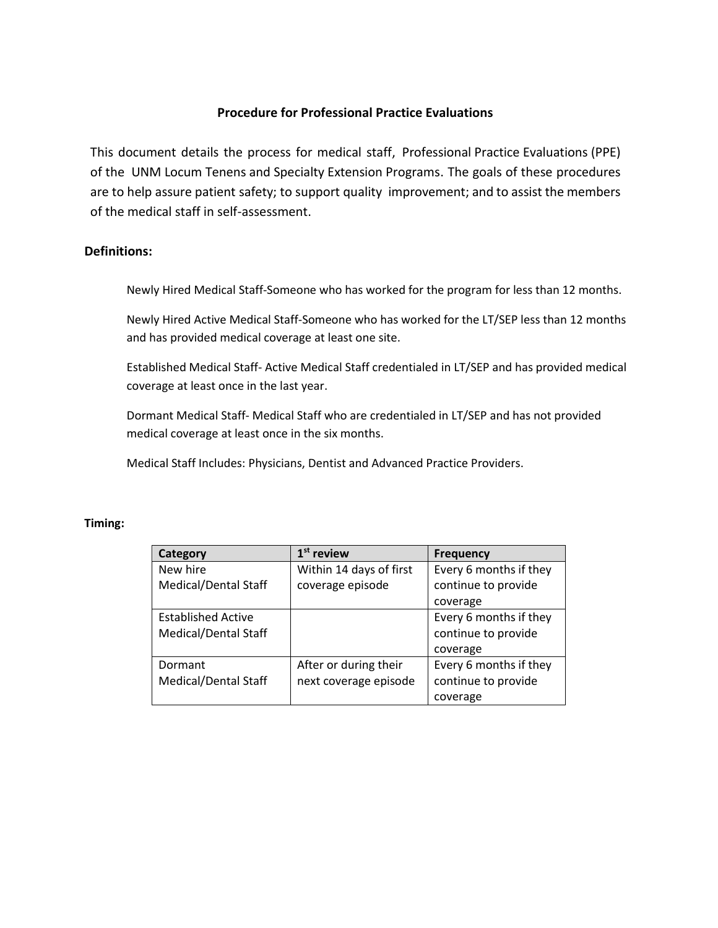## **Procedure for Professional Practice Evaluations**

This document details the process for medical staff, Professional Practice Evaluations (PPE) of the UNM Locum Tenens and Specialty Extension Programs. The goals of these procedures are to help assure patient safety; to support quality improvement; and to assist the members of the medical staff in self-assessment.

## **Definitions:**

Newly Hired Medical Staff-Someone who has worked for the program for less than 12 months.

Newly Hired Active Medical Staff-Someone who has worked for the LT/SEP less than 12 months and has provided medical coverage at least one site.

Established Medical Staff- Active Medical Staff credentialed in LT/SEP and has provided medical coverage at least once in the last year.

Dormant Medical Staff- Medical Staff who are credentialed in LT/SEP and has not provided medical coverage at least once in the six months.

Medical Staff Includes: Physicians, Dentist and Advanced Practice Providers.

## **Timing:**

| Category                  | $1st$ review            | <b>Frequency</b>       |
|---------------------------|-------------------------|------------------------|
| New hire                  | Within 14 days of first | Every 6 months if they |
| Medical/Dental Staff      | coverage episode        | continue to provide    |
|                           |                         | coverage               |
| <b>Established Active</b> |                         | Every 6 months if they |
| Medical/Dental Staff      |                         | continue to provide    |
|                           |                         | coverage               |
| Dormant                   | After or during their   | Every 6 months if they |
| Medical/Dental Staff      | next coverage episode   | continue to provide    |
|                           |                         | coverage               |